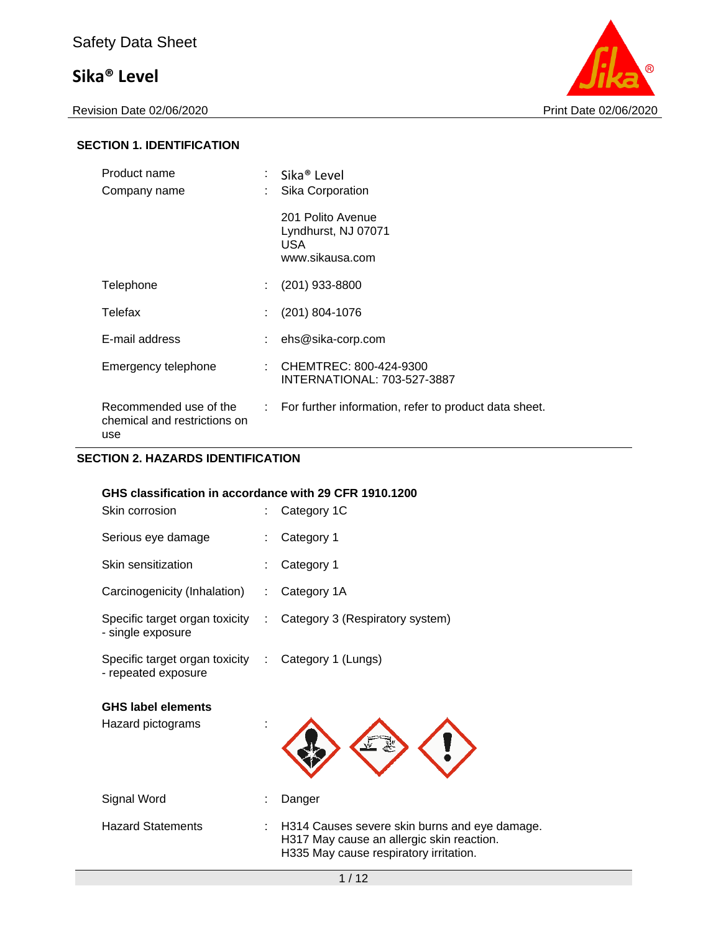

#### **SECTION 1. IDENTIFICATION**

| Product name<br>Company name                                  |     | : Sika® Level<br>Sika Corporation                                  |
|---------------------------------------------------------------|-----|--------------------------------------------------------------------|
|                                                               |     | 201 Polito Avenue<br>Lyndhurst, NJ 07071<br>USA<br>www.sikausa.com |
| Telephone                                                     | t i | $(201)$ 933-8800                                                   |
| Telefax                                                       |     | $(201)$ 804-1076                                                   |
| E-mail address                                                |     | ehs@sika-corp.com                                                  |
| Emergency telephone                                           |     | : CHEMTREC: 800-424-9300<br>INTERNATIONAL: 703-527-3887            |
| Recommended use of the<br>chemical and restrictions on<br>use |     | : For further information, refer to product data sheet.            |

#### **SECTION 2. HAZARDS IDENTIFICATION**

#### **GHS classification in accordance with 29 CFR 1910.1200**

| Skin corrosion                                                             | Category 1C                                                                                                                          |
|----------------------------------------------------------------------------|--------------------------------------------------------------------------------------------------------------------------------------|
| Serious eye damage                                                         | Category 1                                                                                                                           |
| Skin sensitization                                                         | Category 1                                                                                                                           |
| Carcinogenicity (Inhalation)                                               | Category 1A                                                                                                                          |
| Specific target organ toxicity<br>- single exposure                        | : Category 3 (Respiratory system)                                                                                                    |
| Specific target organ toxicity : Category 1 (Lungs)<br>- repeated exposure |                                                                                                                                      |
| <b>GHS label elements</b><br>Hazard pictograms                             |                                                                                                                                      |
| Signal Word                                                                | Danger                                                                                                                               |
| <b>Hazard Statements</b>                                                   | H314 Causes severe skin burns and eye damage.<br>H317 May cause an allergic skin reaction.<br>H335 May cause respiratory irritation. |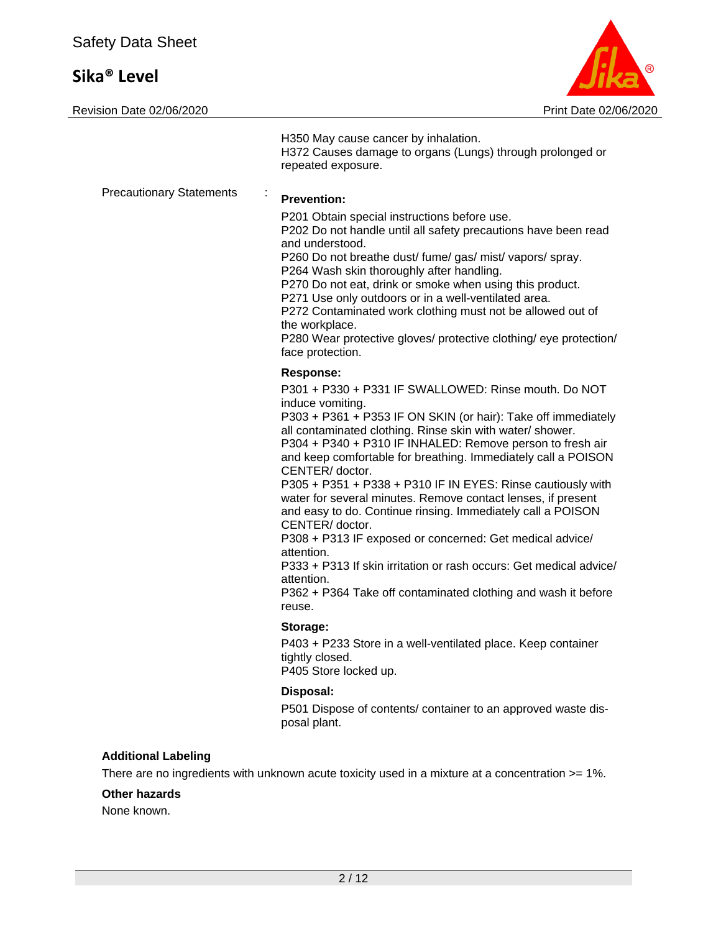

|                                             | H350 May cause cancer by inhalation.<br>H372 Causes damage to organs (Lungs) through prolonged or<br>repeated exposure.                                                                                                                                                                                                                                                                                                                                                                                                                                                                                                                                                                                                                                                                                                             |
|---------------------------------------------|-------------------------------------------------------------------------------------------------------------------------------------------------------------------------------------------------------------------------------------------------------------------------------------------------------------------------------------------------------------------------------------------------------------------------------------------------------------------------------------------------------------------------------------------------------------------------------------------------------------------------------------------------------------------------------------------------------------------------------------------------------------------------------------------------------------------------------------|
| <b>Precautionary Statements</b>             | <b>Prevention:</b><br>P201 Obtain special instructions before use.<br>P202 Do not handle until all safety precautions have been read<br>and understood.<br>P260 Do not breathe dust/ fume/ gas/ mist/ vapors/ spray.<br>P264 Wash skin thoroughly after handling.<br>P270 Do not eat, drink or smoke when using this product.<br>P271 Use only outdoors or in a well-ventilated area.<br>P272 Contaminated work clothing must not be allowed out of<br>the workplace.<br>P280 Wear protective gloves/ protective clothing/ eye protection/<br>face protection.                                                                                                                                                                                                                                                                      |
|                                             | <b>Response:</b><br>P301 + P330 + P331 IF SWALLOWED: Rinse mouth. Do NOT<br>induce vomiting.<br>P303 + P361 + P353 IF ON SKIN (or hair): Take off immediately<br>all contaminated clothing. Rinse skin with water/ shower.<br>P304 + P340 + P310 IF INHALED: Remove person to fresh air<br>and keep comfortable for breathing. Immediately call a POISON<br>CENTER/doctor.<br>P305 + P351 + P338 + P310 IF IN EYES: Rinse cautiously with<br>water for several minutes. Remove contact lenses, if present<br>and easy to do. Continue rinsing. Immediately call a POISON<br>CENTER/doctor.<br>P308 + P313 IF exposed or concerned: Get medical advice/<br>attention.<br>P333 + P313 If skin irritation or rash occurs: Get medical advice/<br>attention.<br>P362 + P364 Take off contaminated clothing and wash it before<br>reuse. |
|                                             | Storage:<br>P403 + P233 Store in a well-ventilated place. Keep container<br>tightly closed.<br>P405 Store locked up.                                                                                                                                                                                                                                                                                                                                                                                                                                                                                                                                                                                                                                                                                                                |
|                                             | Disposal:<br>P501 Dispose of contents/ container to an approved waste dis-<br>posal plant.                                                                                                                                                                                                                                                                                                                                                                                                                                                                                                                                                                                                                                                                                                                                          |
| <b>Additional Labeling</b><br>Other hazards | There are no ingredients with unknown acute toxicity used in a mixture at a concentration >= 1%.                                                                                                                                                                                                                                                                                                                                                                                                                                                                                                                                                                                                                                                                                                                                    |

None known.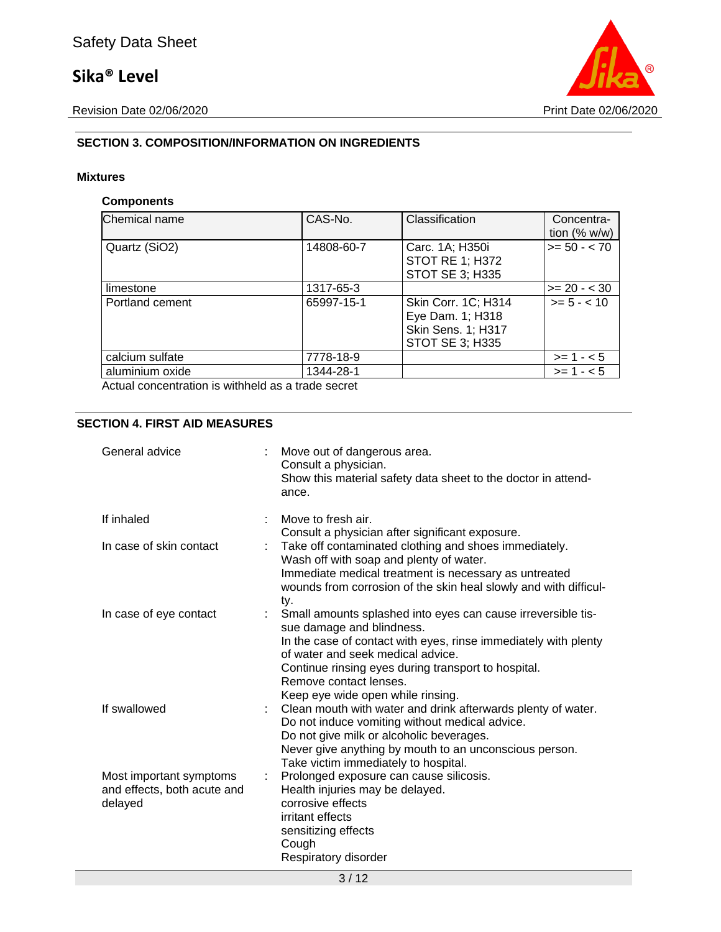

### **SECTION 3. COMPOSITION/INFORMATION ON INGREDIENTS**

#### **Mixtures**

#### **Components**

| Chemical name                                      | CAS-No.    | Classification                                                                          | Concentra-<br>tion $(% w/w)$ |
|----------------------------------------------------|------------|-----------------------------------------------------------------------------------------|------------------------------|
| Quartz (SiO2)                                      | 14808-60-7 | Carc. 1A; H350i<br><b>STOT RE 1; H372</b><br><b>STOT SE 3; H335</b>                     | $>= 50 - < 70$               |
| limestone                                          | 1317-65-3  |                                                                                         | $>= 20 - 30$                 |
| Portland cement                                    | 65997-15-1 | Skin Corr. 1C; H314<br>Eye Dam. 1; H318<br><b>Skin Sens. 1; H317</b><br>STOT SE 3; H335 | $>= 5 - < 10$                |
| calcium sulfate                                    | 7778-18-9  |                                                                                         | $>= 1 - 5$                   |
| aluminium oxide                                    | 1344-28-1  |                                                                                         | $>= 1 - 5$                   |
| Actual concentration is withhold on a trade cooret |            |                                                                                         |                              |

Actual concentration is withheld as a trade secret

#### **SECTION 4. FIRST AID MEASURES**

| General advice                                                    | Move out of dangerous area.<br>Consult a physician.<br>Show this material safety data sheet to the doctor in attend-<br>ance.                                                                                                                                                                                           |
|-------------------------------------------------------------------|-------------------------------------------------------------------------------------------------------------------------------------------------------------------------------------------------------------------------------------------------------------------------------------------------------------------------|
| If inhaled                                                        | Move to fresh air.<br>Consult a physician after significant exposure.                                                                                                                                                                                                                                                   |
| In case of skin contact                                           | Take off contaminated clothing and shoes immediately.<br>Wash off with soap and plenty of water.<br>Immediate medical treatment is necessary as untreated<br>wounds from corrosion of the skin heal slowly and with difficul-<br>ty.                                                                                    |
| In case of eye contact                                            | Small amounts splashed into eyes can cause irreversible tis-<br>sue damage and blindness.<br>In the case of contact with eyes, rinse immediately with plenty<br>of water and seek medical advice.<br>Continue rinsing eyes during transport to hospital.<br>Remove contact lenses.<br>Keep eye wide open while rinsing. |
| If swallowed                                                      | Clean mouth with water and drink afterwards plenty of water.<br>Do not induce vomiting without medical advice.<br>Do not give milk or alcoholic beverages.<br>Never give anything by mouth to an unconscious person.<br>Take victim immediately to hospital.                                                            |
| Most important symptoms<br>and effects, both acute and<br>delayed | Prolonged exposure can cause silicosis.<br>Health injuries may be delayed.<br>corrosive effects<br>irritant effects<br>sensitizing effects<br>Cough<br>Respiratory disorder                                                                                                                                             |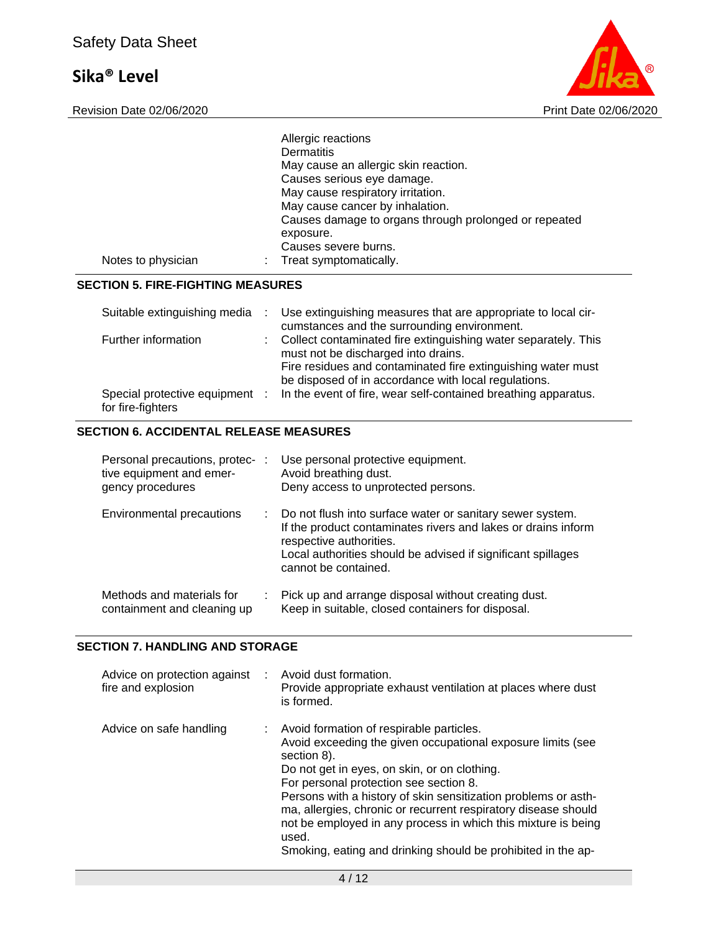Revision Date 02/06/2020



|                    | Allergic reactions<br>Dermatitis                                   |
|--------------------|--------------------------------------------------------------------|
|                    | May cause an allergic skin reaction.                               |
|                    | Causes serious eye damage.                                         |
|                    | May cause respiratory irritation.                                  |
|                    | May cause cancer by inhalation.                                    |
|                    | Causes damage to organs through prolonged or repeated<br>exposure. |
|                    | Causes severe burns.                                               |
| Notes to physician | Treat symptomatically.                                             |

#### **SECTION 5. FIRE-FIGHTING MEASURES**

| Suitable extinguishing media                        | Use extinguishing measures that are appropriate to local cir-<br>cumstances and the surrounding environment.                                                                                                                    |
|-----------------------------------------------------|---------------------------------------------------------------------------------------------------------------------------------------------------------------------------------------------------------------------------------|
| Further information                                 | : Collect contaminated fire extinguishing water separately. This<br>must not be discharged into drains.<br>Fire residues and contaminated fire extinguishing water must<br>be disposed of in accordance with local regulations. |
| Special protective equipment :<br>for fire-fighters | In the event of fire, wear self-contained breathing apparatus.                                                                                                                                                                  |

#### **SECTION 6. ACCIDENTAL RELEASE MEASURES**

| Personal precautions, protec-:<br>tive equipment and emer-<br>gency procedures |    | Use personal protective equipment.<br>Avoid breathing dust.<br>Deny access to unprotected persons.                                                                                                                                            |
|--------------------------------------------------------------------------------|----|-----------------------------------------------------------------------------------------------------------------------------------------------------------------------------------------------------------------------------------------------|
| Environmental precautions                                                      | ÷. | Do not flush into surface water or sanitary sewer system.<br>If the product contaminates rivers and lakes or drains inform<br>respective authorities.<br>Local authorities should be advised if significant spillages<br>cannot be contained. |
| Methods and materials for<br>containment and cleaning up                       |    | Pick up and arrange disposal without creating dust.<br>Keep in suitable, closed containers for disposal.                                                                                                                                      |

#### **SECTION 7. HANDLING AND STORAGE**

| Advice on protection against<br>fire and explosion | Avoid dust formation.<br>Provide appropriate exhaust ventilation at places where dust<br>is formed.                                                                                                                                                                                                                                                                                                                                                                                              |
|----------------------------------------------------|--------------------------------------------------------------------------------------------------------------------------------------------------------------------------------------------------------------------------------------------------------------------------------------------------------------------------------------------------------------------------------------------------------------------------------------------------------------------------------------------------|
| Advice on safe handling                            | : Avoid formation of respirable particles.<br>Avoid exceeding the given occupational exposure limits (see<br>section 8).<br>Do not get in eyes, on skin, or on clothing.<br>For personal protection see section 8.<br>Persons with a history of skin sensitization problems or asth-<br>ma, allergies, chronic or recurrent respiratory disease should<br>not be employed in any process in which this mixture is being<br>used.<br>Smoking, eating and drinking should be prohibited in the ap- |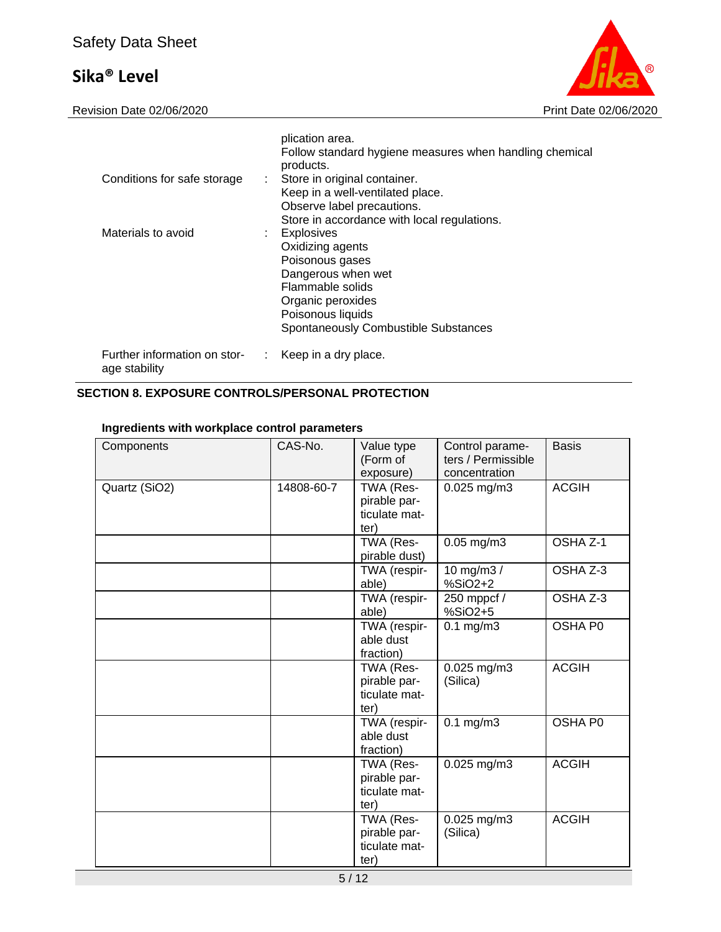Revision Date 02/06/2020 **Print Date 02/06/2020** 



|                                               |    | plication area.<br>Follow standard hygiene measures when handling chemical<br>products.                                                                                                                                             |
|-----------------------------------------------|----|-------------------------------------------------------------------------------------------------------------------------------------------------------------------------------------------------------------------------------------|
| Conditions for safe storage                   |    | : Store in original container.<br>Keep in a well-ventilated place.<br>Observe label precautions.                                                                                                                                    |
| Materials to avoid                            |    | Store in accordance with local regulations.<br><b>Explosives</b><br>Oxidizing agents<br>Poisonous gases<br>Dangerous when wet<br>Flammable solids<br>Organic peroxides<br>Poisonous liquids<br>Spontaneously Combustible Substances |
| Further information on stor-<br>age stability | ÷. | Keep in a dry place.                                                                                                                                                                                                                |

### **SECTION 8. EXPOSURE CONTROLS/PERSONAL PROTECTION**

### **Ingredients with workplace control parameters**

| Components    | CAS-No.    | Value type<br>(Form of<br>exposure)                | Control parame-<br>ters / Permissible<br>concentration | <b>Basis</b> |
|---------------|------------|----------------------------------------------------|--------------------------------------------------------|--------------|
| Quartz (SiO2) | 14808-60-7 | TWA (Res-<br>pirable par-<br>ticulate mat-<br>ter) | $0.025$ mg/m3                                          | <b>ACGIH</b> |
|               |            | TWA (Res-<br>pirable dust)                         | $0.05$ mg/m $3$                                        | OSHA Z-1     |
|               |            | TWA (respir-<br>able)                              | 10 mg/m3 /<br>%SiO2+2                                  | OSHA Z-3     |
|               |            | TWA (respir-<br>able)                              | 250 mppcf /<br>%SiO2+5                                 | OSHA Z-3     |
|               |            | TWA (respir-<br>able dust<br>fraction)             | $0.1$ mg/m $3$                                         | OSHA P0      |
|               |            | TWA (Res-<br>pirable par-<br>ticulate mat-<br>ter) | $0.025$ mg/m3<br>(Silica)                              | <b>ACGIH</b> |
|               |            | TWA (respir-<br>able dust<br>fraction)             | $0.1$ mg/m $3$                                         | OSHA P0      |
|               |            | TWA (Res-<br>pirable par-<br>ticulate mat-<br>ter) | $0.025$ mg/m3                                          | <b>ACGIH</b> |
|               |            | TWA (Res-<br>pirable par-<br>ticulate mat-<br>ter) | $0.025$ mg/m3<br>(Silica)                              | <b>ACGIH</b> |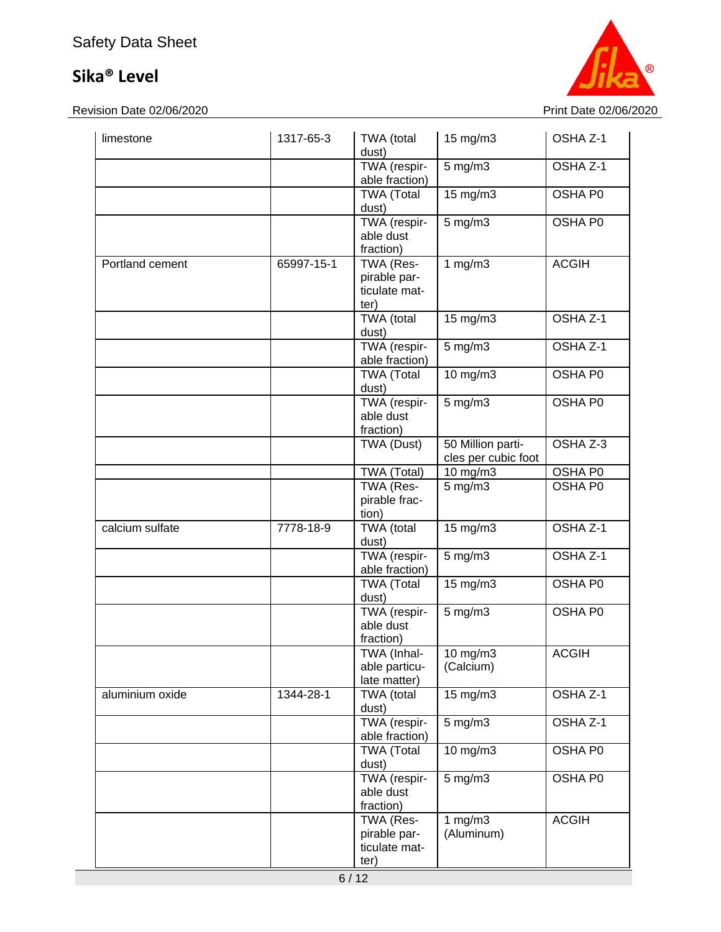Revision Date 02/06/2020 **Print Date 02/06/2020** 



| limestone       | 1317-65-3  | TWA (total<br>dust)                                | 15 mg/m3                                 | OSHA <sub>Z-1</sub> |
|-----------------|------------|----------------------------------------------------|------------------------------------------|---------------------|
|                 |            | TWA (respir-<br>able fraction)                     | $\overline{5}$ mg/m3                     | OSHA Z-1            |
|                 |            | <b>TWA (Total</b><br>dust)                         | 15 mg/m3                                 | OSHA P0             |
|                 |            | TWA (respir-<br>able dust<br>fraction)             | $\overline{5}$ mg/m3                     | OSHA P0             |
| Portland cement | 65997-15-1 | TWA (Res-<br>pirable par-<br>ticulate mat-<br>ter) | 1 $mg/m3$                                | <b>ACGIH</b>        |
|                 |            | TWA (total<br>dust)                                | 15 mg/m3                                 | OSHA Z-1            |
|                 |            | TWA (respir-<br>able fraction)                     | $5$ mg/m $3$                             | OSHA Z-1            |
|                 |            | <b>TWA (Total</b><br>dust)                         | 10 mg/m3                                 | OSHA P0             |
|                 |            | TWA (respir-<br>able dust<br>fraction)             | $5$ mg/m $3$                             | OSHA P0             |
|                 |            | TWA (Dust)                                         | 50 Million parti-<br>cles per cubic foot | OSHA Z-3            |
|                 |            | TWA (Total)                                        | 10 mg/m3                                 | OSHA P0             |
|                 |            | TWA (Res-<br>pirable frac-<br>tion)                | $5$ mg/m $3$                             | OSHA P0             |
| calcium sulfate | 7778-18-9  | TWA (total<br>dust)                                | 15 mg/m3                                 | OSHA Z-1            |
|                 |            | TWA (respir-<br>able fraction)                     | $5$ mg/m $3$                             | OSHA Z-1            |
|                 |            | <b>TWA (Total</b><br>dust)                         | 15 mg/m3                                 | OSHA P0             |
|                 |            | TWA (respir-<br>able dust<br>fraction)             | $5$ mg/m $3$                             | OSHA P0             |
|                 |            | TWA (Inhal-<br>able particu-<br>late matter)       | $10$ mg/m $3$<br>(Calcium)               | <b>ACGIH</b>        |
| aluminium oxide | 1344-28-1  | TWA (total<br>dust)                                | 15 mg/m3                                 | OSHA Z-1            |
|                 |            | TWA (respir-<br>able fraction)                     | $5$ mg/m $3$                             | OSHA Z-1            |
|                 |            | <b>TWA (Total</b><br>dust)                         | 10 mg/m3                                 | OSHA P0             |
|                 |            | TWA (respir-<br>able dust<br>fraction)             | $5$ mg/m $3$                             | OSHA P0             |
|                 |            | TWA (Res-<br>pirable par-<br>ticulate mat-<br>ter) | 1 $mg/m3$<br>(Aluminum)                  | <b>ACGIH</b>        |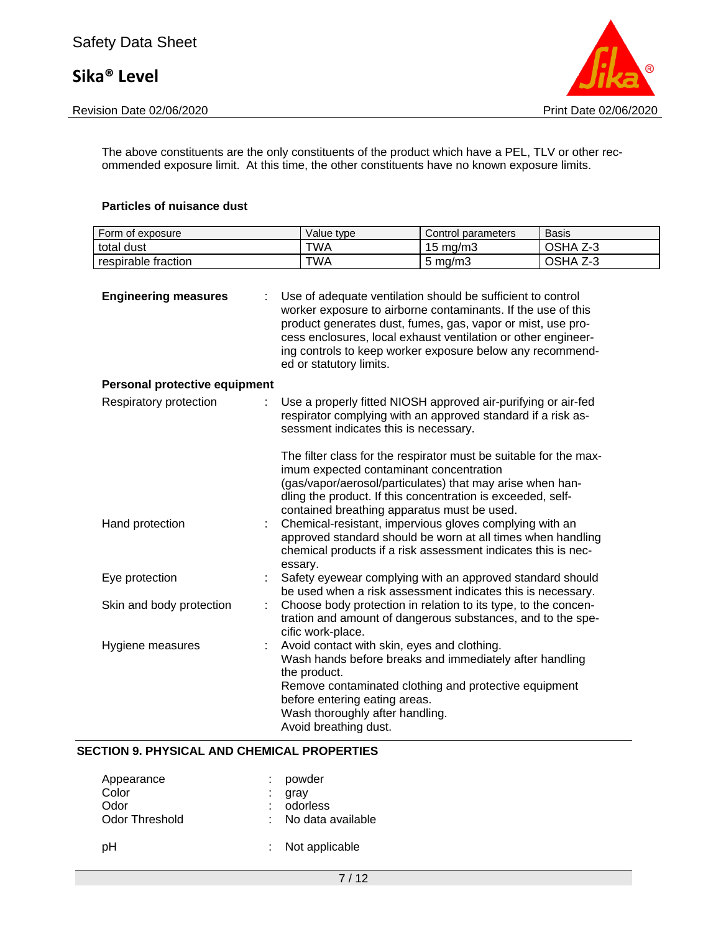

The above constituents are the only constituents of the product which have a PEL, TLV or other recommended exposure limit. At this time, the other constituents have no known exposure limits.

#### **Particles of nuisance dust**

| Form of exposure              | Value type                                                                                                                                               | Control parameters                                                                                                                                                                                                                                                                                                                                                            | <b>Basis</b> |
|-------------------------------|----------------------------------------------------------------------------------------------------------------------------------------------------------|-------------------------------------------------------------------------------------------------------------------------------------------------------------------------------------------------------------------------------------------------------------------------------------------------------------------------------------------------------------------------------|--------------|
| total dust                    | <b>TWA</b>                                                                                                                                               | 15 mg/m3                                                                                                                                                                                                                                                                                                                                                                      | OSHA Z-3     |
| respirable fraction           | <b>TWA</b>                                                                                                                                               | $5$ mg/m $3$                                                                                                                                                                                                                                                                                                                                                                  | OSHA Z-3     |
| <b>Engineering measures</b>   | ed or statutory limits.                                                                                                                                  | Use of adequate ventilation should be sufficient to control<br>worker exposure to airborne contaminants. If the use of this<br>product generates dust, fumes, gas, vapor or mist, use pro-<br>cess enclosures, local exhaust ventilation or other engineer-<br>ing controls to keep worker exposure below any recommend-                                                      |              |
| Personal protective equipment |                                                                                                                                                          |                                                                                                                                                                                                                                                                                                                                                                               |              |
| Respiratory protection        | sessment indicates this is necessary.<br>imum expected contaminant concentration                                                                         | Use a properly fitted NIOSH approved air-purifying or air-fed<br>respirator complying with an approved standard if a risk as-<br>The filter class for the respirator must be suitable for the max-<br>(gas/vapor/aerosol/particulates) that may arise when han-<br>dling the product. If this concentration is exceeded, self-<br>contained breathing apparatus must be used. |              |
| Hand protection               | essary.                                                                                                                                                  | Chemical-resistant, impervious gloves complying with an<br>approved standard should be worn at all times when handling<br>chemical products if a risk assessment indicates this is nec-                                                                                                                                                                                       |              |
| Eye protection                |                                                                                                                                                          | Safety eyewear complying with an approved standard should<br>be used when a risk assessment indicates this is necessary.                                                                                                                                                                                                                                                      |              |
| Skin and body protection      | cific work-place.                                                                                                                                        | Choose body protection in relation to its type, to the concen-<br>tration and amount of dangerous substances, and to the spe-                                                                                                                                                                                                                                                 |              |
| Hygiene measures              | Avoid contact with skin, eyes and clothing.<br>the product.<br>before entering eating areas.<br>Wash thoroughly after handling.<br>Avoid breathing dust. | Wash hands before breaks and immediately after handling<br>Remove contaminated clothing and protective equipment                                                                                                                                                                                                                                                              |              |

#### **SECTION 9. PHYSICAL AND CHEMICAL PROPERTIES**

| Appearance     | : powder              |
|----------------|-----------------------|
| Color          | gray                  |
| Odor           | : odorless            |
| Odor Threshold | $:$ No data available |
| pН             | : Not applicable      |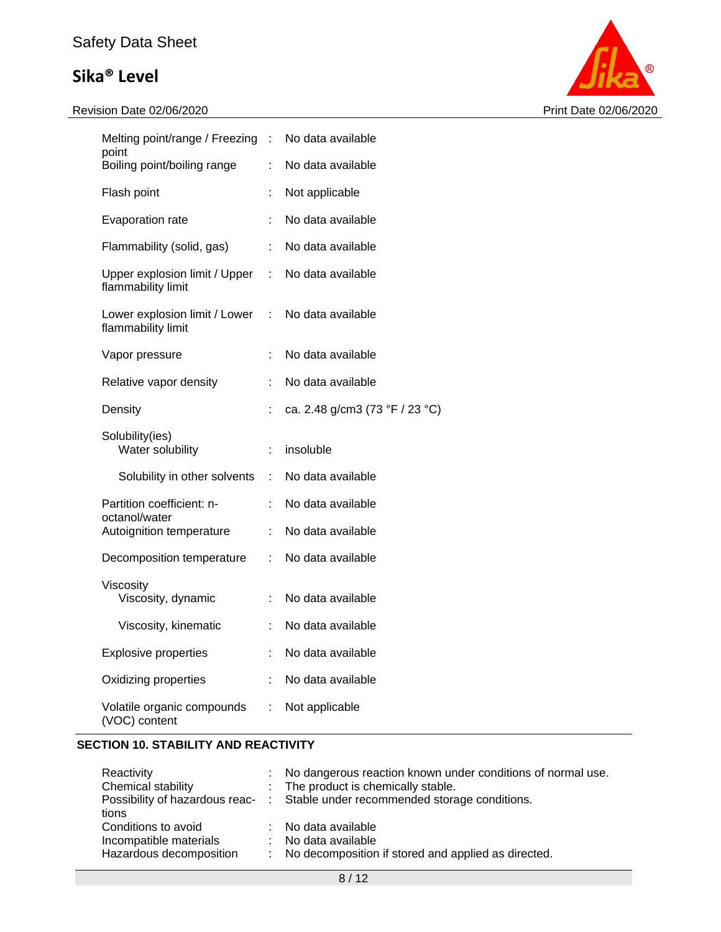# Safety Data Sheet

# **Sika® Level**



| Melting point/range / Freezing : No data available  |                               |                                |
|-----------------------------------------------------|-------------------------------|--------------------------------|
| point<br>Boiling point/boiling range                | ÷                             | No data available              |
| Flash point                                         | ÷                             | Not applicable                 |
| Evaporation rate                                    |                               | No data available              |
| Flammability (solid, gas)                           | t.                            | No data available              |
| Upper explosion limit / Upper<br>flammability limit | ÷.                            | No data available              |
| Lower explosion limit / Lower<br>flammability limit | $\mathcal{L}^{\mathcal{L}}$ . | No data available              |
| Vapor pressure                                      | ÷                             | No data available              |
| Relative vapor density                              |                               | No data available              |
| Density                                             |                               | ca. 2.48 g/cm3 (73 °F / 23 °C) |
|                                                     |                               |                                |
| Solubility(ies)<br>Water solubility                 | ÷.                            | insoluble                      |
| Solubility in other solvents                        | $\mathcal{L}_{\mathrm{max}}$  | No data available              |
| Partition coefficient: n-                           | t.                            | No data available              |
| octanol/water<br>Autoignition temperature           | t.                            | No data available              |
| Decomposition temperature                           | ÷.                            | No data available              |
| Viscosity<br>Viscosity, dynamic                     | t.                            | No data available              |
| Viscosity, kinematic                                | t.                            | No data available              |
| <b>Explosive properties</b>                         | t.                            | No data available              |
| Oxidizing properties                                | t.                            | No data available              |

#### **SECTION 10. STABILITY AND REACTIVITY**

| Reactivity<br>Chemical stability<br>tions                                | : No dangerous reaction known under conditions of normal use.<br>: The product is chemically stable.<br>Possibility of hazardous reac- : Stable under recommended storage conditions. |
|--------------------------------------------------------------------------|---------------------------------------------------------------------------------------------------------------------------------------------------------------------------------------|
| Conditions to avoid<br>Incompatible materials<br>Hazardous decomposition | : No data available<br>: No data available<br>: No decomposition if stored and applied as directed.                                                                                   |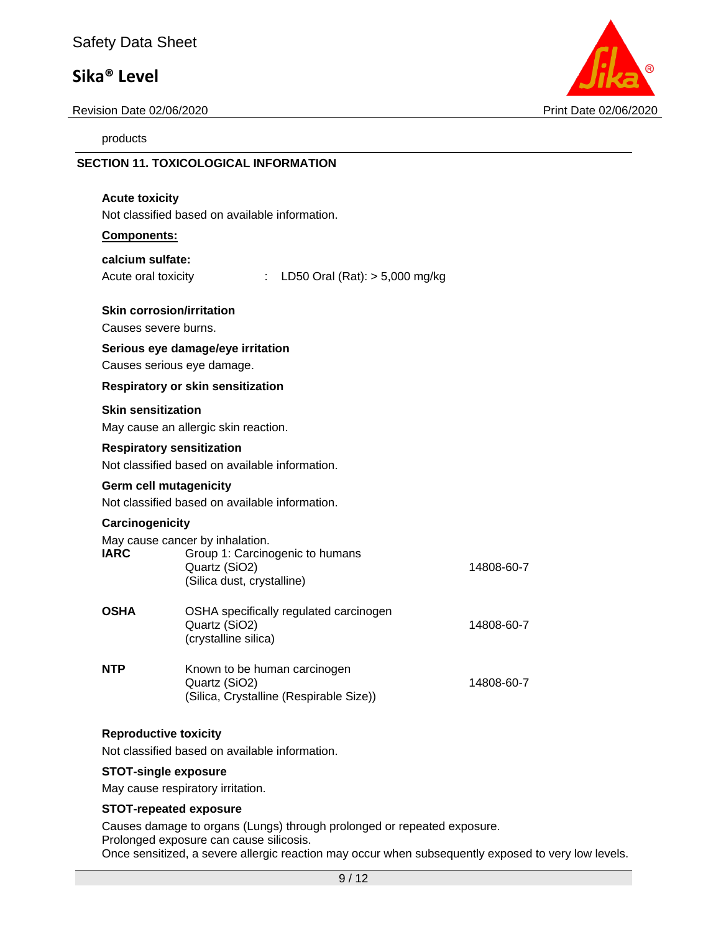### Safety Data Sheet

### **Sika® Level**

Revision Date 02/06/2020 Print Date 02/06/2020

**SECTION 11. TOXICOLOGICAL INFORMATION**

products



| <b>Acute toxicity</b>                                    | Not classified based on available information.                                                                    |            |
|----------------------------------------------------------|-------------------------------------------------------------------------------------------------------------------|------------|
| Components:                                              |                                                                                                                   |            |
| calcium sulfate:<br>Acute oral toxicity                  | LD50 Oral (Rat): $> 5,000$ mg/kg<br>÷.                                                                            |            |
| <b>Skin corrosion/irritation</b><br>Causes severe burns. |                                                                                                                   |            |
| Causes serious eye damage.                               | Serious eye damage/eye irritation                                                                                 |            |
|                                                          | <b>Respiratory or skin sensitization</b>                                                                          |            |
| <b>Skin sensitization</b>                                | May cause an allergic skin reaction.                                                                              |            |
| <b>Respiratory sensitization</b>                         | Not classified based on available information.                                                                    |            |
| <b>Germ cell mutagenicity</b>                            | Not classified based on available information.                                                                    |            |
| Carcinogenicity<br>IARC                                  | May cause cancer by inhalation.<br>Group 1: Carcinogenic to humans<br>Quartz (SiO2)<br>(Silica dust, crystalline) | 14808-60-7 |
| <b>OSHA</b>                                              | OSHA specifically regulated carcinogen<br>Quartz (SiO2)<br>(crystalline silica)                                   | 14808-60-7 |
| <b>NTP</b>                                               | Known to be human carcinogen<br>Quartz (SiO2)<br>(Silica, Crystalline (Respirable Size))                          | 14808-60-7 |

#### **Reproductive toxicity**

Not classified based on available information.

#### **STOT-single exposure**

May cause respiratory irritation.

#### **STOT-repeated exposure**

Causes damage to organs (Lungs) through prolonged or repeated exposure. Prolonged exposure can cause silicosis. Once sensitized, a severe allergic reaction may occur when subsequently exposed to very low levels.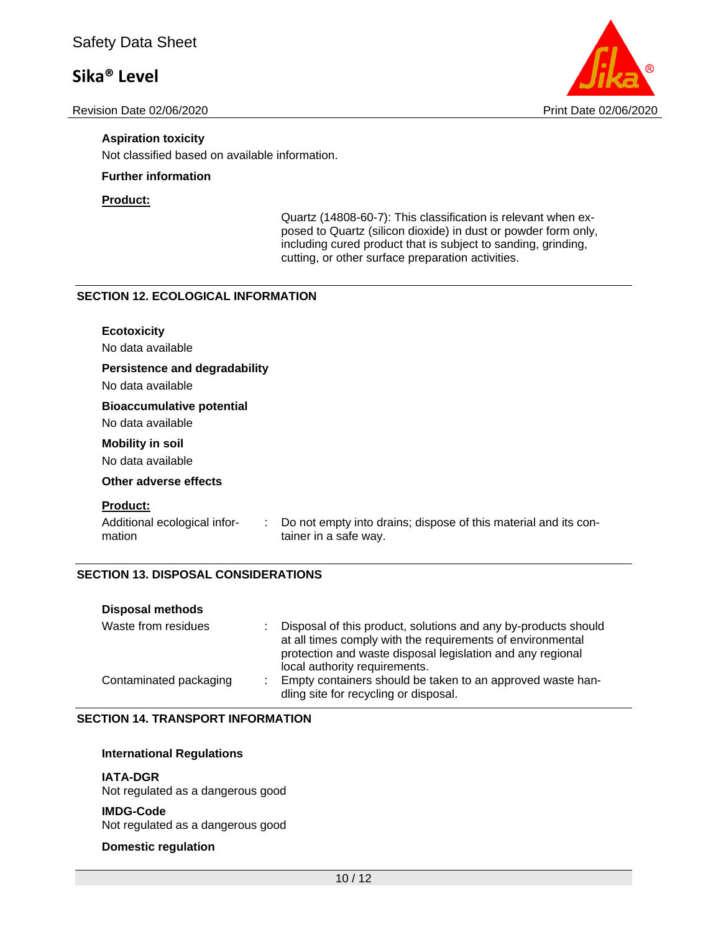Revision Date 02/06/2020 Print Date 02/06/2020



#### **Aspiration toxicity**

Not classified based on available information.

#### **Further information**

#### **Product:**

Quartz (14808-60-7): This classification is relevant when exposed to Quartz (silicon dioxide) in dust or powder form only, including cured product that is subject to sanding, grinding, cutting, or other surface preparation activities.

#### **SECTION 12. ECOLOGICAL INFORMATION**

| <b>Ecotoxicity</b><br>No data available                         |                                                                                          |
|-----------------------------------------------------------------|------------------------------------------------------------------------------------------|
| <b>Persistence and degradability</b><br>No data available       |                                                                                          |
| <b>Bioaccumulative potential</b><br>No data available           |                                                                                          |
| <b>Mobility in soil</b><br>No data available                    |                                                                                          |
| Other adverse effects                                           |                                                                                          |
| <b>Product:</b><br>Additional ecological infor-<br>÷.<br>mation | Do not empty into drains; dispose of this material and its con-<br>tainer in a safe way. |

#### **SECTION 13. DISPOSAL CONSIDERATIONS**

| <b>Disposal methods</b> |                                                                                                                                                                                                                             |  |
|-------------------------|-----------------------------------------------------------------------------------------------------------------------------------------------------------------------------------------------------------------------------|--|
| Waste from residues     | Disposal of this product, solutions and any by-products should<br>at all times comply with the requirements of environmental<br>protection and waste disposal legislation and any regional<br>local authority requirements. |  |
| Contaminated packaging  | Empty containers should be taken to an approved waste han-<br>dling site for recycling or disposal.                                                                                                                         |  |

#### **SECTION 14. TRANSPORT INFORMATION**

#### **International Regulations**

#### **IATA-DGR**

Not regulated as a dangerous good

#### **IMDG-Code**

Not regulated as a dangerous good

#### **Domestic regulation**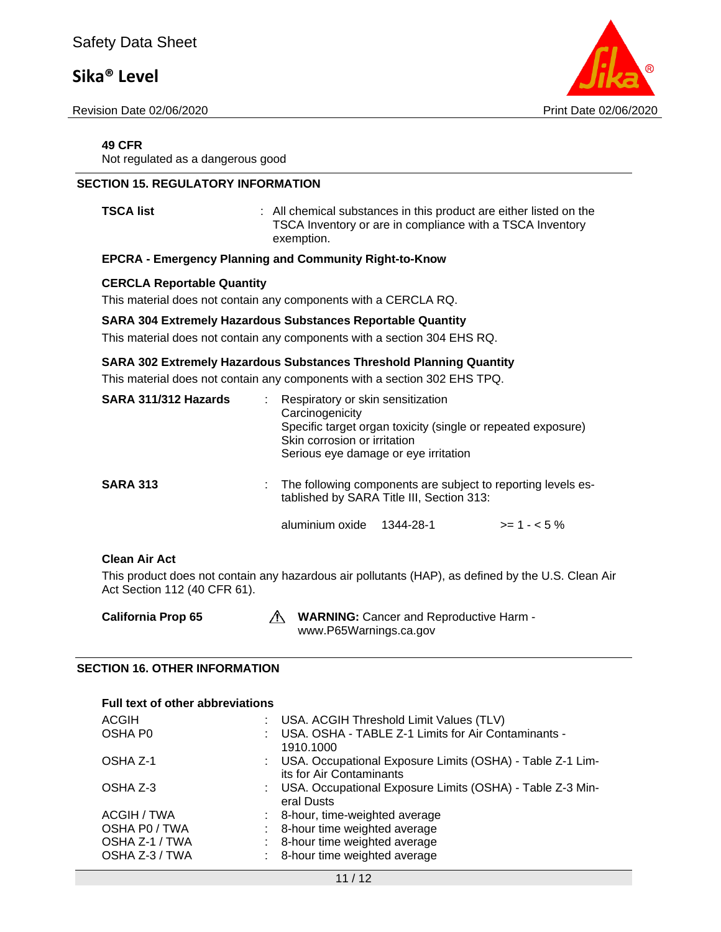Revision Date 02/06/2020 Print Date 02/06/2020



#### **49 CFR**

Not regulated as a dangerous good

#### **SECTION 15. REGULATORY INFORMATION**

**TSCA list EXECA list 1 COLLEGATE:** All chemical substances in this product are either listed on the TSCA Inventory or are in compliance with a TSCA Inventory exemption.

#### **EPCRA - Emergency Planning and Community Right-to-Know**

#### **CERCLA Reportable Quantity**

This material does not contain any components with a CERCLA RQ.

#### **SARA 304 Extremely Hazardous Substances Reportable Quantity**

This material does not contain any components with a section 304 EHS RQ.

#### **SARA 302 Extremely Hazardous Substances Threshold Planning Quantity**

This material does not contain any components with a section 302 EHS TPQ.

| SARA 311/312 Hazards |  | : Respiratory or skin sensitization<br>Carcinogenicity<br>Skin corrosion or irritation                      | Specific target organ toxicity (single or repeated exposure)<br>Serious eye damage or eye irritation |              |
|----------------------|--|-------------------------------------------------------------------------------------------------------------|------------------------------------------------------------------------------------------------------|--------------|
| <b>SARA 313</b>      |  | : The following components are subject to reporting levels es-<br>tablished by SARA Title III, Section 313: |                                                                                                      |              |
|                      |  | aluminium oxide                                                                                             | 1344-28-1                                                                                            | $>= 1 - 5\%$ |

#### **Clean Air Act**

This product does not contain any hazardous air pollutants (HAP), as defined by the U.S. Clean Air Act Section 112 (40 CFR 61).

| <b>California Prop 65</b> | <b>WARNING:</b> Cancer and Reproductive Harm - |
|---------------------------|------------------------------------------------|
|                           | www.P65Warnings.ca.gov                         |

#### **SECTION 16. OTHER INFORMATION**

| <b>Full text of other abbreviations</b> |  |                                                                                         |  |  |
|-----------------------------------------|--|-----------------------------------------------------------------------------------------|--|--|
| <b>ACGIH</b>                            |  | USA. ACGIH Threshold Limit Values (TLV)                                                 |  |  |
| OSHA P <sub>0</sub>                     |  | USA. OSHA - TABLE Z-1 Limits for Air Contaminants -<br>1910.1000                        |  |  |
| OSHA Z-1                                |  | : USA. Occupational Exposure Limits (OSHA) - Table Z-1 Lim-<br>its for Air Contaminants |  |  |
| OSHA Z-3                                |  | : USA. Occupational Exposure Limits (OSHA) - Table Z-3 Min-<br>eral Dusts               |  |  |
| ACGIH / TWA                             |  | 8-hour, time-weighted average                                                           |  |  |
| OSHA P0 / TWA                           |  | 8-hour time weighted average                                                            |  |  |
| OSHA Z-1 / TWA                          |  | 8-hour time weighted average                                                            |  |  |
| OSHA Z-3 / TWA                          |  | 8-hour time weighted average                                                            |  |  |